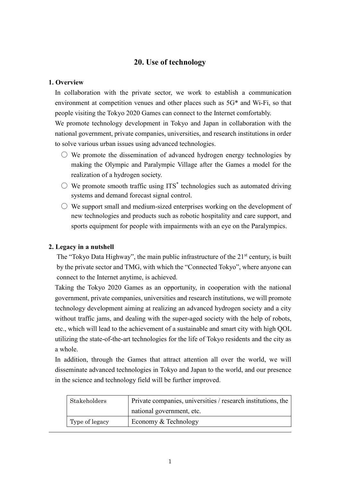## **20. Use of technology**

### **1. Overview**

In collaboration with the private sector, we work to establish a communication environment at competition venues and other places such as 5G\* and Wi-Fi, so that people visiting the Tokyo 2020 Games can connect to the Internet comfortably.

We promote technology development in Tokyo and Japan in collaboration with the national government, private companies, universities, and research institutions in order to solve various urban issues using advanced technologies.

- $\circlearrowright$  We promote the dissemination of advanced hydrogen energy technologies by making the Olympic and Paralympic Village after the Games a model for the realization of a hydrogen society.
- $\circlearrowright$  We promote smooth traffic using ITS\* technologies such as automated driving systems and demand forecast signal control.
- $\bigcirc$  We support small and medium-sized enterprises working on the development of new technologies and products such as robotic hospitality and care support, and sports equipment for people with impairments with an eye on the Paralympics.

## **2. Legacy in a nutshell**

The "Tokyo Data Highway", the main public infrastructure of the  $21<sup>st</sup>$  century, is built by the private sector and TMG, with which the "Connected Tokyo", where anyone can connect to the Internet anytime, is achieved.

Taking the Tokyo 2020 Games as an opportunity, in cooperation with the national government, private companies, universities and research institutions, we will promote technology development aiming at realizing an advanced hydrogen society and a city without traffic jams, and dealing with the super-aged society with the help of robots, etc., which will lead to the achievement of a sustainable and smart city with high QOL utilizing the state-of-the-art technologies for the life of Tokyo residents and the city as a whole.

In addition, through the Games that attract attention all over the world, we will disseminate advanced technologies in Tokyo and Japan to the world, and our presence in the science and technology field will be further improved.

| Stakeholders   | Private companies, universities / research institutions, the |
|----------------|--------------------------------------------------------------|
|                | national government, etc.                                    |
| Type of legacy | Economy & Technology                                         |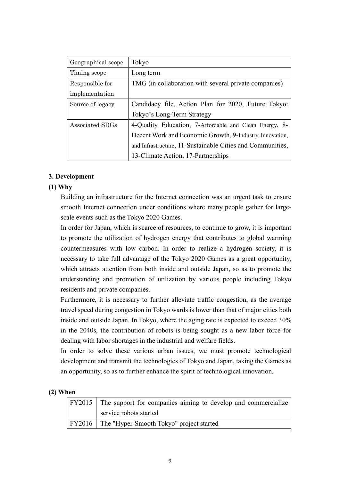| Geographical scope | Tokyo                                                      |
|--------------------|------------------------------------------------------------|
| Timing scope       | Long term                                                  |
| Responsible for    | TMG (in collaboration with several private companies)      |
| implementation     |                                                            |
| Source of legacy   | Candidacy file, Action Plan for 2020, Future Tokyo:        |
|                    | Tokyo's Long-Term Strategy                                 |
| Associated SDGs    | 4-Quality Education, 7-Affordable and Clean Energy, 8-     |
|                    | Decent Work and Economic Growth, 9-Industry, Innovation,   |
|                    | and Infrastructure, 11-Sustainable Cities and Communities, |
|                    | 13-Climate Action, 17-Partnerships                         |

### **3. Development**

### **(1) Why**

Building an infrastructure for the Internet connection was an urgent task to ensure smooth Internet connection under conditions where many people gather for largescale events such as the Tokyo 2020 Games.

In order for Japan, which is scarce of resources, to continue to grow, it is important to promote the utilization of hydrogen energy that contributes to global warming countermeasures with low carbon. In order to realize a hydrogen society, it is necessary to take full advantage of the Tokyo 2020 Games as a great opportunity, which attracts attention from both inside and outside Japan, so as to promote the understanding and promotion of utilization by various people including Tokyo residents and private companies.

Furthermore, it is necessary to further alleviate traffic congestion, as the average travel speed during congestion in Tokyo wards is lower than that of major cities both inside and outside Japan. In Tokyo, where the aging rate is expected to exceed 30% in the 2040s, the contribution of robots is being sought as a new labor force for dealing with labor shortages in the industrial and welfare fields.

In order to solve these various urban issues, we must promote technological development and transmit the technologies of Tokyo and Japan, taking the Games as an opportunity, so as to further enhance the spirit of technological innovation.

### **(2) When**

| FY2015 The support for companies aiming to develop and commercialize |
|----------------------------------------------------------------------|
| service robots started                                               |
| FY2016   The "Hyper-Smooth Tokyo" project started                    |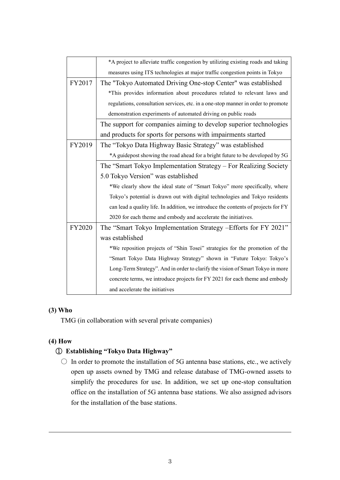|        | *A project to alleviate traffic congestion by utilizing existing roads and taking  |
|--------|------------------------------------------------------------------------------------|
|        | measures using ITS technologies at major traffic congestion points in Tokyo        |
| FY2017 | The "Tokyo Automated Driving One-stop Center" was established                      |
|        | *This provides information about procedures related to relevant laws and           |
|        | regulations, consultation services, etc. in a one-stop manner in order to promote  |
|        | demonstration experiments of automated driving on public roads                     |
|        | The support for companies aiming to develop superior technologies                  |
|        | and products for sports for persons with impairments started                       |
| FY2019 | The "Tokyo Data Highway Basic Strategy" was established                            |
|        | *A guidepost showing the road ahead for a bright future to be developed by 5G      |
|        | The "Smart Tokyo Implementation Strategy - For Realizing Society                   |
|        | 5.0 Tokyo Version" was established                                                 |
|        | *We clearly show the ideal state of "Smart Tokyo" more specifically, where         |
|        | Tokyo's potential is drawn out with digital technologies and Tokyo residents       |
|        | can lead a quality life. In addition, we introduce the contents of projects for FY |
|        | 2020 for each theme and embody and accelerate the initiatives.                     |
| FY2020 | The "Smart Tokyo Implementation Strategy – Efforts for FY 2021"                    |
|        | was established                                                                    |
|        | *We reposition projects of "Shin Tosei" strategies for the promotion of the        |
|        | "Smart Tokyo Data Highway Strategy" shown in "Future Tokyo: Tokyo's                |
|        | Long-Term Strategy". And in order to clarify the vision of Smart Tokyo in more     |
|        | concrete terms, we introduce projects for FY 2021 for each theme and embody        |
|        | and accelerate the initiatives                                                     |

## **(3) Who**

TMG (in collaboration with several private companies)

## **(4) How**

## ① **Establishing "Tokyo Data Highway"**

 $\bigcirc$  In order to promote the installation of 5G antenna base stations, etc., we actively open up assets owned by TMG and release database of TMG-owned assets to simplify the procedures for use. In addition, we set up one-stop consultation office on the installation of 5G antenna base stations. We also assigned advisors for the installation of the base stations.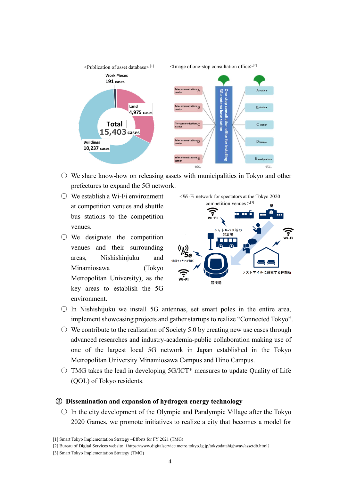

- $\circ$  We share know-how on releasing assets with municipalities in Tokyo and other prefectures to expand the 5G network.
- $\bigcirc$  We establish a Wi-Fi environment at competition venues and shuttle bus stations to the competition venues.
- $\bigcirc$  We designate the competition venues and their surrounding areas, Nishishinjuku and Minamiosawa (Tokyo Metropolitan University), as the key areas to establish the 5G environment.



- $\circ$  In Nishishijuku we install 5G antennas, set smart poles in the entire area, implement showcasing projects and gather startups to realize "Connected Tokyo".
- $\circ$  We contribute to the realization of Society 5.0 by creating new use cases through advanced researches and industry-academia-public collaboration making use of one of the largest local 5G network in Japan established in the Tokyo Metropolitan University Minamiosawa Campus and Hino Campus.
- $\bigcirc$  TMG takes the lead in developing 5G/ICT\* measures to update Quality of Life (QOL) of Tokyo residents.

### ② **Dissemination and expansion of hydrogen energy technology**

 $\circ$  In the city development of the Olympic and Paralympic Village after the Tokyo 2020 Games, we promote initiatives to realize a city that becomes a model for

[3] Smart Tokyo Implementation Strategy (TMG)

<sup>[1]</sup> Smart Tokyo Implementation Strategy –Efforts for FY 2021 (TMG)

<sup>[2]</sup> Bureau of Digital Services website (https://www.digitalservice.metro.tokyo.lg.jp/tokyodatahighway/assetdb.html)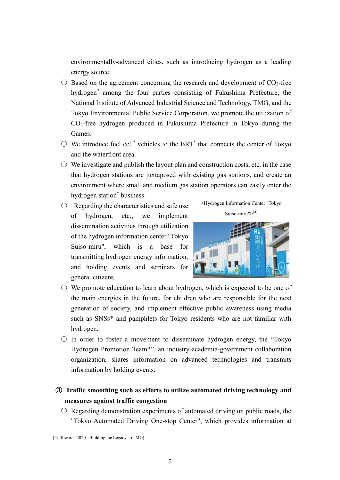environmentally-advanced cities, such as introducing hydrogen as a leading energy source.

- $\bigcirc$  Based on the agreement concerning the research and development of CO<sub>2</sub>-free hydrogen\* among the four parties consisting of Fukushima Prefecture, the National Institute of Advanced Industrial Science and Technology, TMG, and the Tokyo Environmental Public Service Corporation, we promote the utilization of CO2-free hydrogen produced in Fukushima Prefecture in Tokyo during the Games.
- $\circlearrowright$  We introduce fuel cell<sup>\*</sup> vehicles to the BRT<sup>\*</sup> that connects the center of Tokyo and the waterfront area.
- $\circlearrowright$  We investigate and publish the layout plan and construction costs, etc. in the case that hydrogen stations are juxtaposed with existing gas stations, and create an environment where small and medium gas station operators can easily enter the hydrogen station\* business.
- $\bigcirc$  Regarding the characteristics and safe use of hydrogen, etc., we implement dissemination activities through utilization of the hydrogen information center "Tokyo Suiso-miru", which is a base for transmitting hydrogen energy information, and holding events and seminars for general citizens.





- $\circlearrowright$  We promote education to learn about hydrogen, which is expected to be one of the main energies in the future, for children who are responsible for the next generation of society, and implement effective public awareness using media such as SNSs\* and pamphlets for Tokyo residents who are not familiar with hydrogen.
- $\circ$  In order to foster a movement to disseminate hydrogen energy, the "Tokyo" Hydrogen Promotion Team\*", an industry-academia-government collaboration organization, shares information on advanced technologies and transmits information by holding events.
- ③ **Traffic smoothing such as efforts to utilize automated driving technology and measures against traffic congestion**
	- $\circ$  Regarding demonstration experiments of automated driving on public roads, the "Tokyo Automated Driving One-stop Center", which provides information at

<sup>[4]</sup> Towards 2020 –Building the Legacy – (TMG)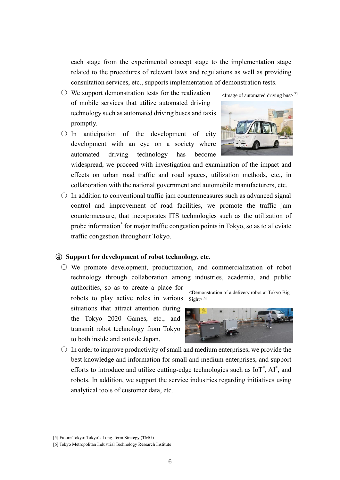each stage from the experimental concept stage to the implementation stage related to the procedures of relevant laws and regulations as well as providing consultation services, etc., supports implementation of demonstration tests.

- $\circlearrowright$  We support demonstration tests for the realization of mobile services that utilize automated driving technology such as automated driving buses and taxis promptly.
- $\bigcirc$  In anticipation of the development of city development with an eye on a society where automated driving technology has become



 $\leq$ Image of automated driving bus $>$ [5]

widespread, we proceed with investigation and examination of the impact and effects on urban road traffic and road spaces, utilization methods, etc., in collaboration with the national government and automobile manufacturers, etc.

 $\circ$  In addition to conventional traffic jam countermeasures such as advanced signal control and improvement of road facilities, we promote the traffic jam countermeasure, that incorporates ITS technologies such as the utilization of probe information\* for major traffic congestion points in Tokyo, so as to alleviate traffic congestion throughout Tokyo.

#### ④ **Support for development of robot technology, etc.**

 $\circlearrowright$  We promote development, productization, and commercialization of robot technology through collaboration among industries, academia, and public

authorities, so as to create a place for robots to play active roles in various

situations that attract attention during the Tokyo 2020 Games, etc., and transmit robot technology from Tokyo to both inside and outside Japan.

<Demonstration of a delivery robot at Tokyo Big Sight>[6]



 $\circ$  In order to improve productivity of small and medium enterprises, we provide the best knowledge and information for small and medium enterprises, and support efforts to introduce and utilize cutting-edge technologies such as  $IoT^*$ ,  $AI^*$ , and robots. In addition, we support the service industries regarding initiatives using analytical tools of customer data, etc.

<sup>[5]</sup> Future Tokyo: Tokyo's Long-Term Strategy (TMG)

<sup>[6]</sup> Tokyo Metropolitan Industrial Technology Research Institute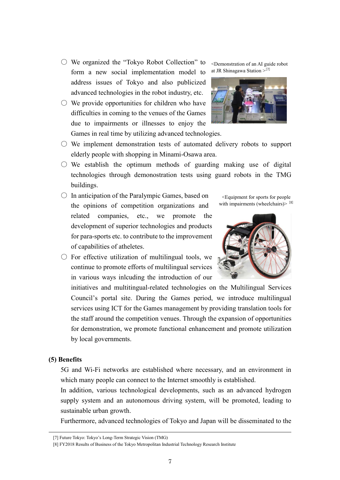7

- We organized the "Tokyo Robot Collection" to form a new social implementation model to address issues of Tokyo and also publicized advanced technologies in the robot industry, etc.
- $\circlearrowright$  We provide opportunities for children who have difficulties in coming to the venues of the Games due to impairments or illnesses to enjoy the Games in real time by utilizing advanced technologies.
- $\circlearrowright$  We implement demonstration tests of automated delivery robots to support elderly people with shopping in Minami-Osawa area.
- $\circ$  We establish the optimum methods of guarding making use of digital technologies through demonostration tests using guard robots in the TMG buildings.
- $\circ$  In anticipation of the Paralympic Games, based on the opinions of competition organizations and related companies, etc., we promote the development of superior technologies and products for para-sports etc. to contribute to the improvement of capabilities of atheletes.
- $\circlearrowright$  For effective utilization of multilingual tools, we continue to promote efforts of multilingual services in various ways inlcuding the introduction of our

initiatives and multitingual-related technologies on the Multilingual Services Council's portal site. During the Games period, we introduce multilingual services using ICT for the Games management by providing translation tools for the staff around the competition venues. Through the expansion of opportunities for demonstration, we promote functional enhancement and promote utilization by local governments.

### **(5) Benefits**

5G and Wi-Fi networks are established where necessary, and an environment in which many people can connect to the Internet smoothly is established.

In addition, various technological developments, such as an advanced hydrogen supply system and an autonomous driving system, will be promoted, leading to sustainable urban growth.

Furthermore, advanced technologies of Tokyo and Japan will be disseminated to the

<Demonstration of an AI guide robot at JR Shinagawa Station > [7]





<Equipment for sports for people with impairments (wheelchairs) $>$  [8]

<sup>[7]</sup> Future Tokyo: Tokyo's Long-Term Strategic Vision (TMG)

<sup>[8]</sup> FY2018 Results of Business of the Tokyo Metropolitan Industrial Technology Research Institute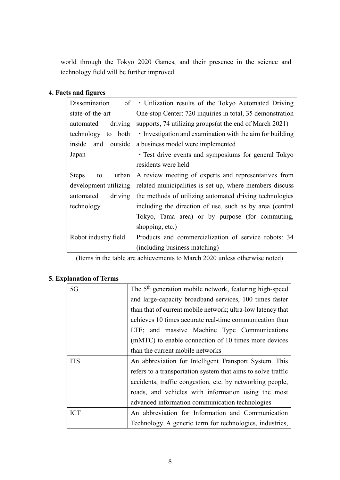world through the Tokyo 2020 Games, and their presence in the science and technology field will be further improved.

# **4. Facts and figures**

| of<br>Dissemination         | • Utilization results of the Tokyo Automated Driving      |
|-----------------------------|-----------------------------------------------------------|
| state-of-the-art            | One-stop Center: 720 inquiries in total, 35 demonstration |
| driving<br>automated        | supports, 74 utilizing groups (at the end of March 2021)  |
| technology to<br>both       | • Investigation and examination with the aim for building |
| inside<br>and<br>outside    | a business model were implemented                         |
| Japan                       | · Test drive events and symposiums for general Tokyo      |
|                             | residents were held                                       |
| <b>Steps</b><br>urban<br>to | A review meeting of experts and representatives from      |
| development utilizing       | related municipalities is set up, where members discuss   |
| driving<br>automated        | the methods of utilizing automated driving technologies   |
| technology                  | including the direction of use, such as by area (central  |
|                             | Tokyo, Tama area) or by purpose (for commuting,           |
|                             | shopping, etc.)                                           |
| Robot industry field        | Products and commercialization of service robots: 34      |
|                             | (including business matching)                             |

(Items in the table are achievements to March 2020 unless otherwise noted)

# **5. Explanation of Terms**

| 5G         | The 5 <sup>th</sup> generation mobile network, featuring high-speed |
|------------|---------------------------------------------------------------------|
|            | and large-capacity broadband services, 100 times faster             |
|            | than that of current mobile network; ultra-low latency that         |
|            | achieves 10 times accurate real-time communication than             |
|            | LTE; and massive Machine Type Communications                        |
|            | (mMTC) to enable connection of 10 times more devices                |
|            | than the current mobile networks                                    |
| <b>ITS</b> | An abbreviation for Intelligent Transport System. This              |
|            | refers to a transportation system that aims to solve traffic        |
|            | accidents, traffic congestion, etc. by networking people,           |
|            | roads, and vehicles with information using the most                 |
|            | advanced information communication technologies                     |
| <b>ICT</b> | An abbreviation for Information and Communication                   |
|            | Technology. A generic term for technologies, industries,            |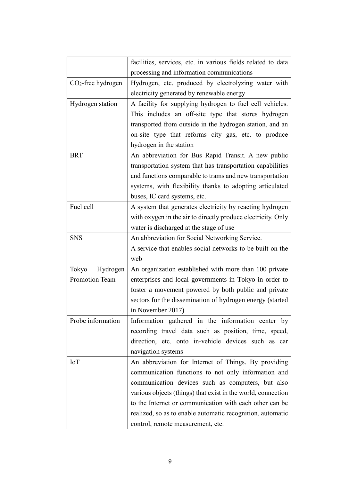|                      | facilities, services, etc. in various fields related to data |
|----------------------|--------------------------------------------------------------|
|                      | processing and information communications                    |
| $CO2$ -free hydrogen | Hydrogen, etc. produced by electrolyzing water with          |
|                      | electricity generated by renewable energy                    |
| Hydrogen station     | A facility for supplying hydrogen to fuel cell vehicles.     |
|                      | This includes an off-site type that stores hydrogen          |
|                      | transported from outside in the hydrogen station, and an     |
|                      | on-site type that reforms city gas, etc. to produce          |
|                      | hydrogen in the station                                      |
| <b>BRT</b>           | An abbreviation for Bus Rapid Transit. A new public          |
|                      | transportation system that has transportation capabilities   |
|                      | and functions comparable to trams and new transportation     |
|                      | systems, with flexibility thanks to adopting articulated     |
|                      | buses, IC card systems, etc.                                 |
| Fuel cell            | A system that generates electricity by reacting hydrogen     |
|                      | with oxygen in the air to directly produce electricity. Only |
|                      | water is discharged at the stage of use                      |
| <b>SNS</b>           | An abbreviation for Social Networking Service.               |
|                      | A service that enables social networks to be built on the    |
|                      | web                                                          |
| Tokyo<br>Hydrogen    | An organization established with more than 100 private       |
| Promotion Team       | enterprises and local governments in Tokyo in order to       |
|                      | foster a movement powered by both public and private         |
|                      | sectors for the dissemination of hydrogen energy (started    |
|                      | in November 2017)                                            |
| Probe information    | Information gathered in the information center by            |
|                      | recording travel data such as position, time, speed,         |
|                      | direction, etc. onto in-vehicle devices such as car          |
|                      | navigation systems                                           |
| <b>IoT</b>           | An abbreviation for Internet of Things. By providing         |
|                      | communication functions to not only information and          |
|                      | communication devices such as computers, but also            |
|                      | various objects (things) that exist in the world, connection |
|                      | to the Internet or communication with each other can be      |
|                      | realized, so as to enable automatic recognition, automatic   |
|                      | control, remote measurement, etc.                            |